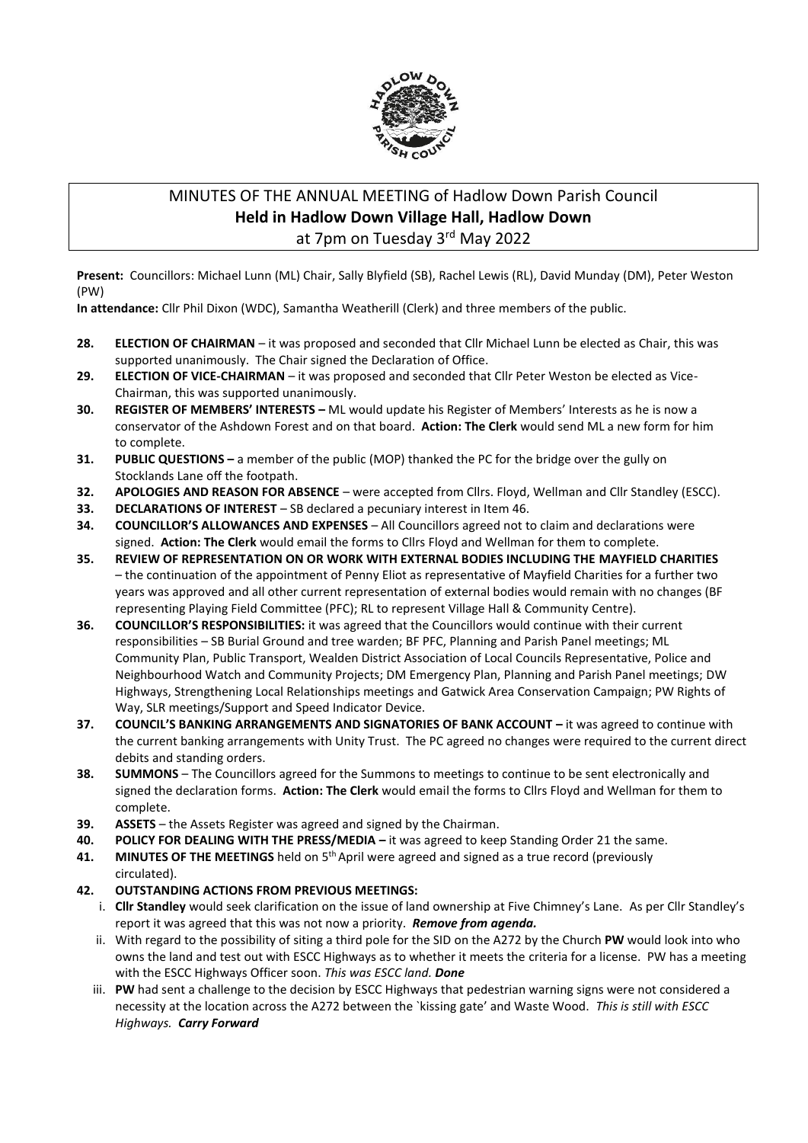

# MINUTES OF THE ANNUAL MEETING of Hadlow Down Parish Council **Held in Hadlow Down Village Hall, Hadlow Down** at 7pm on Tuesday 3<sup>rd</sup> May 2022

**Present:** Councillors: Michael Lunn (ML) Chair, Sally Blyfield (SB), Rachel Lewis (RL), David Munday (DM), Peter Weston (PW)

**In attendance:** Cllr Phil Dixon (WDC), Samantha Weatherill (Clerk) and three members of the public.

- **28. ELECTION OF CHAIRMAN**  it was proposed and seconded that Cllr Michael Lunn be elected as Chair, this was supported unanimously. The Chair signed the Declaration of Office.
- **29. ELECTION OF VICE-CHAIRMAN** it was proposed and seconded that Cllr Peter Weston be elected as Vice-Chairman, this was supported unanimously.
- **30. REGISTER OF MEMBERS' INTERESTS –** ML would update his Register of Members' Interests as he is now a conservator of the Ashdown Forest and on that board. **Action: The Clerk** would send ML a new form for him to complete.
- **31. PUBLIC QUESTIONS –** a member of the public (MOP) thanked the PC for the bridge over the gully on Stocklands Lane off the footpath.
- **32. APOLOGIES AND REASON FOR ABSENCE** were accepted from Cllrs. Floyd, Wellman and Cllr Standley (ESCC).
- **33. DECLARATIONS OF INTEREST** SB declared a pecuniary interest in Item 46.
- **34. COUNCILLOR'S ALLOWANCES AND EXPENSES** All Councillors agreed not to claim and declarations were signed. **Action: The Clerk** would email the forms to Cllrs Floyd and Wellman for them to complete.
- **35. REVIEW OF REPRESENTATION ON OR WORK WITH EXTERNAL BODIES INCLUDING THE MAYFIELD CHARITIES** – the continuation of the appointment of Penny Eliot as representative of Mayfield Charities for a further two years was approved and all other current representation of external bodies would remain with no changes (BF representing Playing Field Committee (PFC); RL to represent Village Hall & Community Centre).
- **36. COUNCILLOR'S RESPONSIBILITIES:** it was agreed that the Councillors would continue with their current responsibilities – SB Burial Ground and tree warden; BF PFC, Planning and Parish Panel meetings; ML Community Plan, Public Transport, Wealden District Association of Local Councils Representative, Police and Neighbourhood Watch and Community Projects; DM Emergency Plan, Planning and Parish Panel meetings; DW Highways, Strengthening Local Relationships meetings and Gatwick Area Conservation Campaign; PW Rights of Way, SLR meetings/Support and Speed Indicator Device.
- **37. COUNCIL'S BANKING ARRANGEMENTS AND SIGNATORIES OF BANK ACCOUNT –** it was agreed to continue with the current banking arrangements with Unity Trust. The PC agreed no changes were required to the current direct debits and standing orders.
- **38. SUMMONS**  The Councillors agreed for the Summons to meetings to continue to be sent electronically and signed the declaration forms. **Action: The Clerk** would email the forms to Cllrs Floyd and Wellman for them to complete.
- **39. ASSETS** the Assets Register was agreed and signed by the Chairman.
- **40. POLICY FOR DEALING WITH THE PRESS/MEDIA –** it was agreed to keep Standing Order 21 the same.
- **41. MINUTES OF THE MEETINGS** held on 5th April were agreed and signed as a true record (previously circulated).
- **42. OUTSTANDING ACTIONS FROM PREVIOUS MEETINGS:**
	- i. **Cllr Standley** would seek clarification on the issue of land ownership at Five Chimney's Lane. As per Cllr Standley's report it was agreed that this was not now a priority. *Remove from agenda.*
	- ii. With regard to the possibility of siting a third pole for the SID on the A272 by the Church **PW** would look into who owns the land and test out with ESCC Highways as to whether it meets the criteria for a license. PW has a meeting with the ESCC Highways Officer soon. *This was ESCC land. Done*
	- iii. **PW** had sent a challenge to the decision by ESCC Highways that pedestrian warning signs were not considered a necessity at the location across the A272 between the `kissing gate' and Waste Wood. *This is still with ESCC Highways. Carry Forward*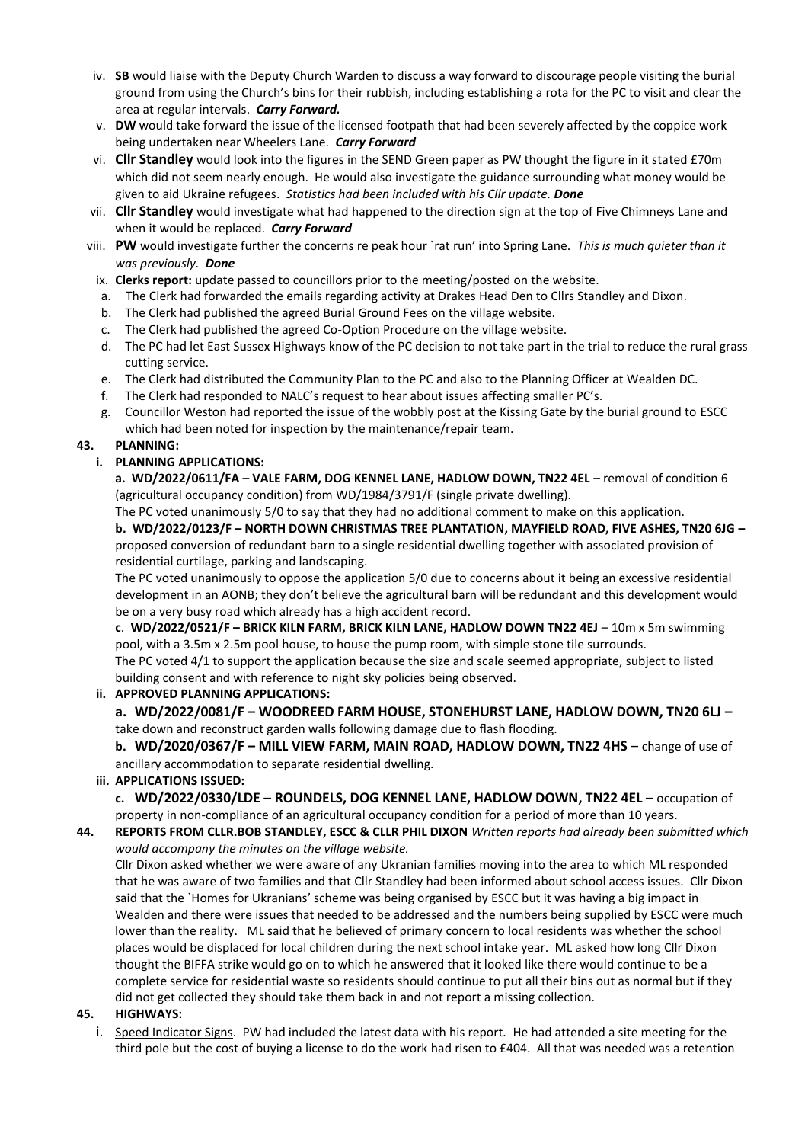- iv. **SB** would liaise with the Deputy Church Warden to discuss a way forward to discourage people visiting the burial ground from using the Church's bins for their rubbish, including establishing a rota for the PC to visit and clear the area at regular intervals. *Carry Forward.*
- v. **DW** would take forward the issue of the licensed footpath that had been severely affected by the coppice work being undertaken near Wheelers Lane. *Carry Forward*
- vi. **Cllr Standley** would look into the figures in the SEND Green paper as PW thought the figure in it stated £70m which did not seem nearly enough. He would also investigate the guidance surrounding what money would be given to aid Ukraine refugees. *Statistics had been included with his Cllr update. Done*
- vii. **Cllr Standley** would investigate what had happened to the direction sign at the top of Five Chimneys Lane and when it would be replaced. *Carry Forward*
- viii. **PW** would investigate further the concerns re peak hour `rat run' into Spring Lane. *This is much quieter than it was previously. Done*
	- ix. **Clerks report:** update passed to councillors prior to the meeting/posted on the website.
	- a. The Clerk had forwarded the emails regarding activity at Drakes Head Den to Cllrs Standley and Dixon.
	- b. The Clerk had published the agreed Burial Ground Fees on the village website.
	- c. The Clerk had published the agreed Co-Option Procedure on the village website.
	- d. The PC had let East Sussex Highways know of the PC decision to not take part in the trial to reduce the rural grass cutting service.
	- e. The Clerk had distributed the Community Plan to the PC and also to the Planning Officer at Wealden DC.
	- f. The Clerk had responded to NALC's request to hear about issues affecting smaller PC's.
	- g. Councillor Weston had reported the issue of the wobbly post at the Kissing Gate by the burial ground to ESCC which had been noted for inspection by the maintenance/repair team.

## **43. PLANNING:**

## **i. PLANNING APPLICATIONS:**

**a. WD/2022/0611/FA – VALE FARM, DOG KENNEL LANE, HADLOW DOWN, TN22 4EL –** removal of condition 6 (agricultural occupancy condition) from WD/1984/3791/F (single private dwelling).

The PC voted unanimously 5/0 to say that they had no additional comment to make on this application.

**b. WD/2022/0123/F – NORTH DOWN CHRISTMAS TREE PLANTATION, MAYFIELD ROAD, FIVE ASHES, TN20 6JG –** proposed conversion of redundant barn to a single residential dwelling together with associated provision of residential curtilage, parking and landscaping.

The PC voted unanimously to oppose the application 5/0 due to concerns about it being an excessive residential development in an AONB; they don't believe the agricultural barn will be redundant and this development would be on a very busy road which already has a high accident record.

**c**. **WD/2022/0521/F – BRICK KILN FARM, BRICK KILN LANE, HADLOW DOWN TN22 4EJ** – 10m x 5m swimming pool, with a 3.5m x 2.5m pool house, to house the pump room, with simple stone tile surrounds. The PC voted 4/1 to support the application because the size and scale seemed appropriate, subject to listed building consent and with reference to night sky policies being observed.

### **ii. APPROVED PLANNING APPLICATIONS:**

**a. WD/2022/0081/F – WOODREED FARM HOUSE, STONEHURST LANE, HADLOW DOWN, TN20 6LJ –** take down and reconstruct garden walls following damage due to flash flooding.

**b. WD/2020/0367/F – MILL VIEW FARM, MAIN ROAD, HADLOW DOWN, TN22 4HS** – change of use of ancillary accommodation to separate residential dwelling.

# **iii. APPLICATIONS ISSUED:**

**c. WD/2022/0330/LDE** – **ROUNDELS, DOG KENNEL LANE, HADLOW DOWN, TN22 4EL** – occupation of property in non-compliance of an agricultural occupancy condition for a period of more than 10 years.

**44. REPORTS FROM CLLR.BOB STANDLEY, ESCC & CLLR PHIL DIXON** *Written reports had already been submitted which would accompany the minutes on the village website.*

Cllr Dixon asked whether we were aware of any Ukranian families moving into the area to which ML responded that he was aware of two families and that Cllr Standley had been informed about school access issues. Cllr Dixon said that the `Homes for Ukranians' scheme was being organised by ESCC but it was having a big impact in Wealden and there were issues that needed to be addressed and the numbers being supplied by ESCC were much lower than the reality. ML said that he believed of primary concern to local residents was whether the school places would be displaced for local children during the next school intake year. ML asked how long Cllr Dixon thought the BIFFA strike would go on to which he answered that it looked like there would continue to be a complete service for residential waste so residents should continue to put all their bins out as normal but if they did not get collected they should take them back in and not report a missing collection.

### **45. HIGHWAYS:**

i. Speed Indicator Signs. PW had included the latest data with his report. He had attended a site meeting for the third pole but the cost of buying a license to do the work had risen to £404. All that was needed was a retention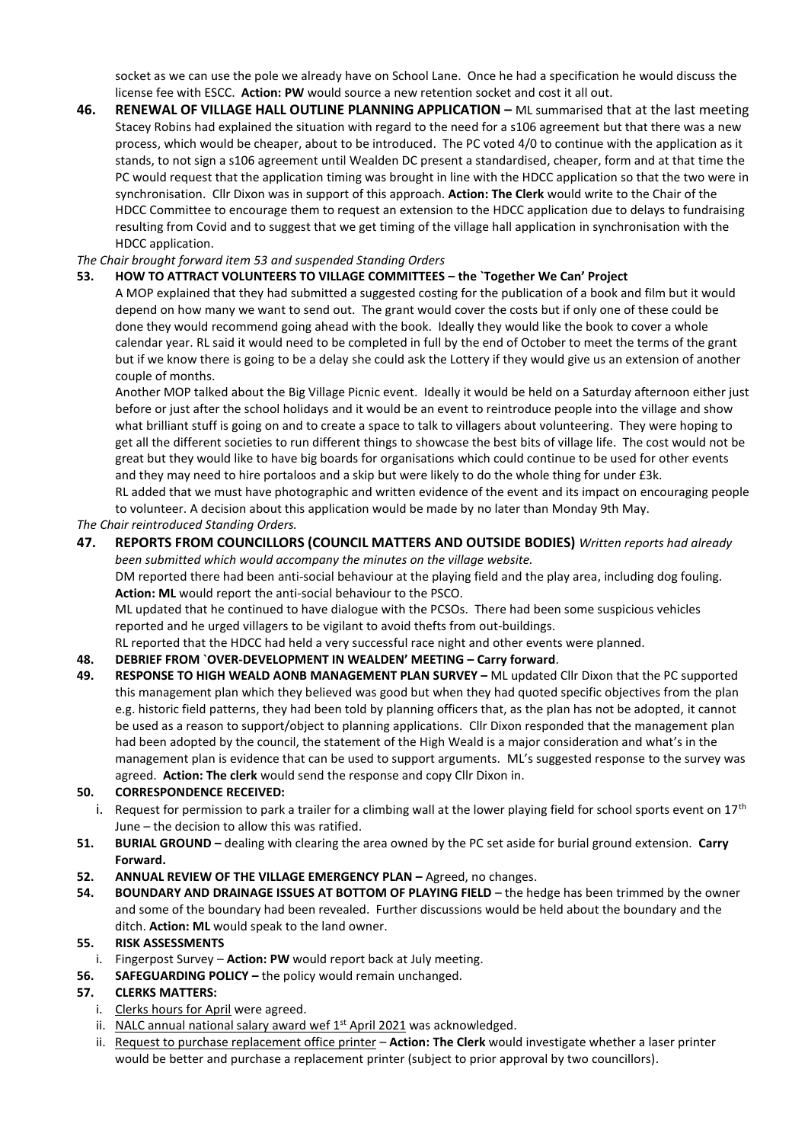socket as we can use the pole we already have on School Lane. Once he had a specification he would discuss the license fee with ESCC. **Action: PW** would source a new retention socket and cost it all out.

**46. RENEWAL OF VILLAGE HALL OUTLINE PLANNING APPLICATION –** ML summarised that at the last meeting Stacey Robins had explained the situation with regard to the need for a s106 agreement but that there was a new process, which would be cheaper, about to be introduced. The PC voted 4/0 to continue with the application as it stands, to not sign a s106 agreement until Wealden DC present a standardised, cheaper, form and at that time the PC would request that the application timing was brought in line with the HDCC application so that the two were in synchronisation. Cllr Dixon was in support of this approach. **Action: The Clerk** would write to the Chair of the HDCC Committee to encourage them to request an extension to the HDCC application due to delays to fundraising resulting from Covid and to suggest that we get timing of the village hall application in synchronisation with the HDCC application.

# *The Chair brought forward item 53 and suspended Standing Orders*

### **53. HOW TO ATTRACT VOLUNTEERS TO VILLAGE COMMITTEES – the `Together We Can' Project**

A MOP explained that they had submitted a suggested costing for the publication of a book and film but it would depend on how many we want to send out. The grant would cover the costs but if only one of these could be done they would recommend going ahead with the book. Ideally they would like the book to cover a whole calendar year. RL said it would need to be completed in full by the end of October to meet the terms of the grant but if we know there is going to be a delay she could ask the Lottery if they would give us an extension of another couple of months.

Another MOP talked about the Big Village Picnic event. Ideally it would be held on a Saturday afternoon either just before or just after the school holidays and it would be an event to reintroduce people into the village and show what brilliant stuff is going on and to create a space to talk to villagers about volunteering. They were hoping to get all the different societies to run different things to showcase the best bits of village life. The cost would not be great but they would like to have big boards for organisations which could continue to be used for other events and they may need to hire portaloos and a skip but were likely to do the whole thing for under £3k.

RL added that we must have photographic and written evidence of the event and its impact on encouraging people to volunteer. A decision about this application would be made by no later than Monday 9th May.

*The Chair reintroduced Standing Orders.*

# **47. REPORTS FROM COUNCILLORS (COUNCIL MATTERS AND OUTSIDE BODIES)** *Written reports had already*

*been submitted which would accompany the minutes on the village website.* DM reported there had been anti-social behaviour at the playing field and the play area, including dog fouling. **Action: ML** would report the anti-social behaviour to the PSCO.

ML updated that he continued to have dialogue with the PCSOs. There had been some suspicious vehicles reported and he urged villagers to be vigilant to avoid thefts from out-buildings.

RL reported that the HDCC had held a very successful race night and other events were planned.

# **48. DEBRIEF FROM `OVER-DEVELOPMENT IN WEALDEN' MEETING – Carry forward**.

**49. RESPONSE TO HIGH WEALD AONB MANAGEMENT PLAN SURVEY –** ML updated Cllr Dixon that the PC supported this management plan which they believed was good but when they had quoted specific objectives from the plan e.g. historic field patterns, they had been told by planning officers that, as the plan has not be adopted, it cannot be used as a reason to support/object to planning applications. Cllr Dixon responded that the management plan had been adopted by the council, the statement of the High Weald is a major consideration and what's in the management plan is evidence that can be used to support arguments. ML's suggested response to the survey was agreed. **Action: The clerk** would send the response and copy Cllr Dixon in.

### **50. CORRESPONDENCE RECEIVED:**

- i. Request for permission to park a trailer for a climbing wall at the lower playing field for school sports event on  $17<sup>th</sup>$ June – the decision to allow this was ratified.
- **51. BURIAL GROUND –** dealing with clearing the area owned by the PC set aside for burial ground extension. **Carry Forward.**
- **52. ANNUAL REVIEW OF THE VILLAGE EMERGENCY PLAN –** Agreed, no changes.
- **54. BOUNDARY AND DRAINAGE ISSUES AT BOTTOM OF PLAYING FIELD**  the hedge has been trimmed by the owner and some of the boundary had been revealed. Further discussions would be held about the boundary and the ditch. **Action: ML** would speak to the land owner.

### **55. RISK ASSESSMENTS**

- i. Fingerpost Survey **Action: PW** would report back at July meeting.
- **56. SAFEGUARDING POLICY –** the policy would remain unchanged.

### **57. CLERKS MATTERS:**

- i. Clerks hours for April were agreed.
- ii. NALC annual national salary award wef 1<sup>st</sup> April 2021 was acknowledged.
- ii. Request to purchase replacement office printer **Action: The Clerk** would investigate whether a laser printer would be better and purchase a replacement printer (subject to prior approval by two councillors).